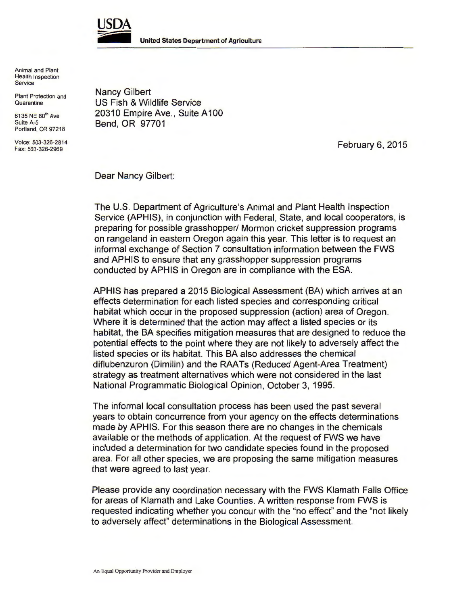

Animal and Plant Health Inspection Service

Plant Protection and **Quarantine** 

6135 NE 80<sup>th</sup> Ave Suite A-5 Portland, OR 97218

Voice: 503-326-2814 Fax: 503-326-2969

Nancy Gilbert US Fish & Wildlife Service 20310 Empire Ave., Suite A 100 Bend, OR 97701

February 6, 2015

Dear Nancy Gilbert:

The U.S. Department of Agriculture's Animal and Plant Health Inspection Service (APHIS), in conjunction with Federal, State, and local cooperators, is preparing for possible grasshopper/ Mormon cricket suppression programs on rangeland in eastern Oregon again this year. This letter is to request an informal exchange of Section 7 consultation information between the FWS and APHIS to ensure that any grasshopper suppression programs conducted by APHIS in Oregon are in compliance with the ESA.

APHIS has prepared a 2015 Biological Assessment (BA) which arrives at an effects determination for each listed species and corresponding critical habitat which occur in the proposed suppression (action) area of Oregon. Where it is determined that the action may affect a listed species or its habitat, the BA specifies mitigation measures that are designed to reduce the potential effects to the point where they are not likely to adversely affect the listed species or its habitat. This BA also addresses the chemical diflubenzuron (Dimilin) and the RAA Ts (Reduced Agent-Area Treatment) strategy as treatment alternatives which were not considered in the last National Programmatic Biological Opinion, October 3, 1995.

The informal local consultation process has been used the past several years to obtain concurrence from your agency on the effects determinations made by APHIS. For this season there are no changes in the chemicals available or the methods of application. At the request of FWS we have included a determination for two candidate species found in the proposed area. For all other species, we are proposing the same mitigation measures that were agreed to last year.

Please provide any coordination necessary with the FWS Klamath Falls Office for areas of Klamath and Lake Counties. A written response from FWS is requested indicating whether you concur with the "no effect" and the "not likely to adversely affect" determinations in the Biological Assessment.